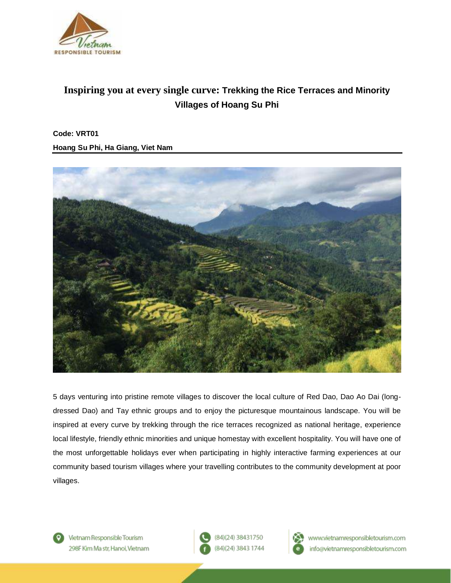

# **Inspiring you at every single curve: Trekking the Rice Terraces and Minority Villages of Hoang Su Phi**

**Code: VRT01 Hoang Su Phi, Ha Giang, Viet Nam**



5 days venturing into pristine remote villages to discover the local culture of Red Dao, Dao Ao Dai (longdressed Dao) and Tay ethnic groups and to enjoy the picturesque mountainous landscape. You will be inspired at every curve by trekking through the rice terraces recognized as national heritage, experience local lifestyle, friendly ethnic minorities and unique homestay with excellent hospitality. You will have one of the most unforgettable holidays ever when participating in highly interactive farming experiences at our community based tourism villages where your travelling contributes to the community development at poor villages.



Vietnam Responsible Tourism 298F Kim Ma str. Hanoi. Vietnam





www.vietnamresponsibletourism.com info@vietnamresponsibletourism.com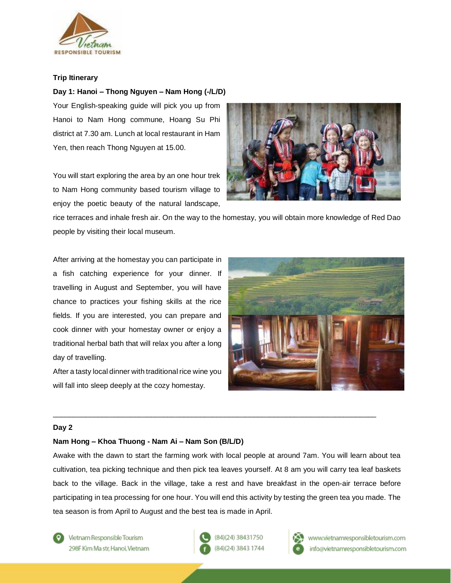

## **Trip Itinerary**

## **Day 1: Hanoi – Thong Nguyen – Nam Hong (-/L/D)**

Your English-speaking guide will pick you up from Hanoi to Nam Hong commune, Hoang Su Phi district at 7.30 am. Lunch at local restaurant in Ham Yen, then reach Thong Nguyen at 15.00.

You will start exploring the area by an one hour trek to Nam Hong community based tourism village to enjoy the poetic beauty of the natural landscape,



rice terraces and inhale fresh air. On the way to the homestay, you will obtain more knowledge of Red Dao people by visiting their local museum.

After arriving at the homestay you can participate in a fish catching experience for your dinner. If travelling in August and September, you will have chance to practices your fishing skills at the rice fields. If you are interested, you can prepare and cook dinner with your homestay owner or enjoy a traditional herbal bath that will relax you after a long day of travelling.

After a tasty local dinner with traditional rice wine you will fall into sleep deeply at the cozy homestay.



### **Day 2**

## **Nam Hong – Khoa Thuong - Nam Ai – Nam Son (B/L/D)**

Awake with the dawn to start the farming work with local people at around 7am. You will learn about tea cultivation, tea picking technique and then pick tea leaves yourself. At 8 am you will carry tea leaf baskets back to the village. Back in the village, take a rest and have breakfast in the open-air terrace before participating in tea processing for one hour. You will end this activity by testing the green tea you made. The tea season is from April to August and the best tea is made in April.

 $\_$  ,  $\_$  ,  $\_$  ,  $\_$  ,  $\_$  ,  $\_$  ,  $\_$  ,  $\_$  ,  $\_$  ,  $\_$  ,  $\_$  ,  $\_$  ,  $\_$  ,  $\_$  ,  $\_$  ,  $\_$  ,  $\_$  ,  $\_$  ,  $\_$  ,  $\_$  ,  $\_$  ,  $\_$  ,  $\_$  ,  $\_$  ,  $\_$  ,  $\_$  ,  $\_$  ,  $\_$  ,  $\_$  ,  $\_$  ,  $\_$  ,  $\_$  ,  $\_$  ,  $\_$  ,  $\_$  ,  $\_$  ,  $\_$  ,

Vietnam Responsible Tourism 298F Kim Ma str. Hanoi. Vietnam (84)(24) 38431750 (84)(24) 3843 1744



www.vietnamresponsibletourism.com info@vietnamresponsibletourism.com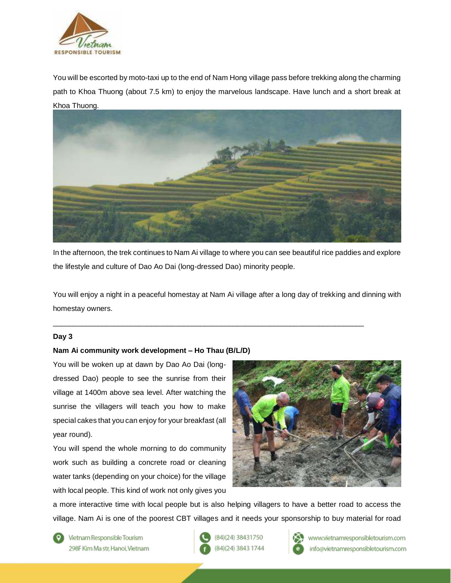

You will be escorted by moto-taxi up to the end of Nam Hong village pass before trekking along the charming path to Khoa Thuong (about 7.5 km) to enjoy the marvelous landscape. Have lunch and a short break at Khoa Thuong.



In the afternoon, the trek continues to Nam Ai village to where you can see beautiful rice paddies and explore the lifestyle and culture of Dao Ao Dai (long-dressed Dao) minority people.

You will enjoy a night in a peaceful homestay at Nam Ai village after a long day of trekking and dinning with homestay owners.

\_\_\_\_\_\_\_\_\_\_\_\_\_\_\_\_\_\_\_\_\_\_\_\_\_\_\_\_\_\_\_\_\_\_\_\_\_\_\_\_\_\_\_\_\_\_\_\_\_\_\_\_\_\_\_\_\_\_\_\_\_\_\_\_\_\_\_\_\_\_\_\_\_\_\_\_

### **Day 3**

### **Nam Ai community work development – Ho Thau (B/L/D)**

You will be woken up at dawn by Dao Ao Dai (longdressed Dao) people to see the sunrise from their village at 1400m above sea level. After watching the sunrise the villagers will teach you how to make special cakes that you can enjoy for your breakfast (all year round).

You will spend the whole morning to do community work such as building a concrete road or cleaning water tanks (depending on your choice) for the village with local people. This kind of work not only gives you



a more interactive time with local people but is also helping villagers to have a better road to access the village. Nam Ai is one of the poorest CBT villages and it needs your sponsorship to buy material for road

Vietnam Responsible Tourism 298F Kim Ma str. Hanoi. Vietnam (84)(24) 38431750 (84)(24) 3843 1744



www.vietnamresponsibletourism.com info@vietnamresponsibletourism.com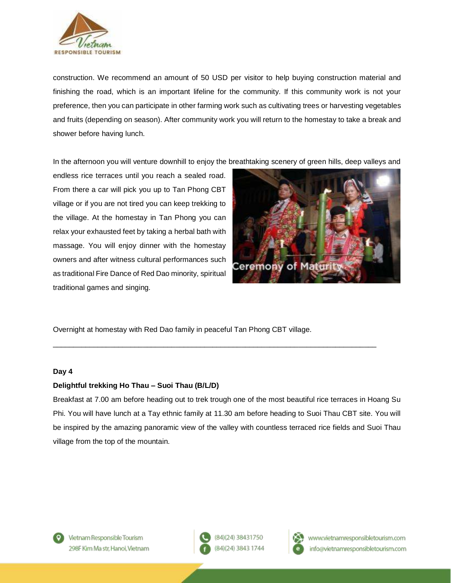

construction. We recommend an amount of 50 USD per visitor to help buying construction material and finishing the road, which is an important lifeline for the community. If this community work is not your preference, then you can participate in other farming work such as cultivating trees or harvesting vegetables and fruits (depending on season). After community work you will return to the homestay to take a break and shower before having lunch.

In the afternoon you will venture downhill to enjoy the breathtaking scenery of green hills, deep valleys and

endless rice terraces until you reach a sealed road. From there a car will pick you up to Tan Phong CBT village or if you are not tired you can keep trekking to the village. At the homestay in Tan Phong you can relax your exhausted feet by taking a herbal bath with massage. You will enjoy dinner with the homestay owners and after witness cultural performances such as traditional Fire Dance of Red Dao minority, spiritual traditional games and singing.



Overnight at homestay with Red Dao family in peaceful Tan Phong CBT village.

### **Day 4**

## **Delightful trekking Ho Thau – Suoi Thau (B/L/D)**

Breakfast at 7.00 am before heading out to trek trough one of the most beautiful rice terraces in Hoang Su Phi. You will have lunch at a Tay ethnic family at 11.30 am before heading to Suoi Thau CBT site. You will be inspired by the amazing panoramic view of the valley with countless terraced rice fields and Suoi Thau village from the top of the mountain.

\_\_\_\_\_\_\_\_\_\_\_\_\_\_\_\_\_\_\_\_\_\_\_\_\_\_\_\_\_\_\_\_\_\_\_\_\_\_\_\_\_\_\_\_\_\_\_\_\_\_\_\_\_\_\_\_\_\_\_\_\_\_\_\_\_\_\_\_\_\_\_\_\_\_\_\_\_\_\_





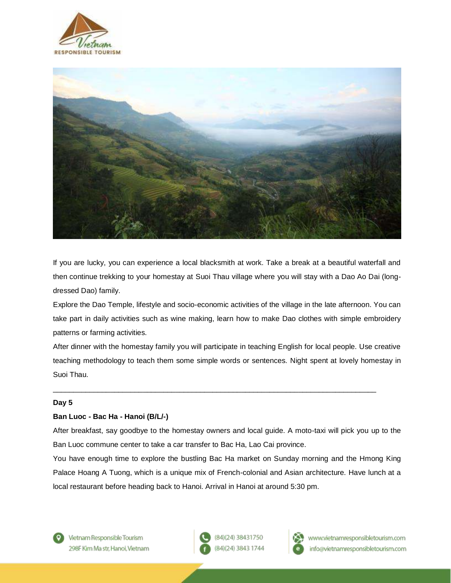



If you are lucky, you can experience a local blacksmith at work. Take a break at a beautiful waterfall and then continue trekking to your homestay at Suoi Thau village where you will stay with a Dao Ao Dai (longdressed Dao) family.

Explore the Dao Temple, lifestyle and socio-economic activities of the village in the late afternoon. You can take part in daily activities such as wine making, learn how to make Dao clothes with simple embroidery patterns or farming activities.

After dinner with the homestay family you will participate in teaching English for local people. Use creative teaching methodology to teach them some simple words or sentences. Night spent at lovely homestay in Suoi Thau.

\_\_\_\_\_\_\_\_\_\_\_\_\_\_\_\_\_\_\_\_\_\_\_\_\_\_\_\_\_\_\_\_\_\_\_\_\_\_\_\_\_\_\_\_\_\_\_\_\_\_\_\_\_\_\_\_\_\_\_\_\_\_\_\_\_\_\_\_\_\_\_\_\_\_\_\_\_\_\_

### **Day 5**

## **Ban Luoc - Bac Ha - Hanoi (B/L/-)**

After breakfast, say goodbye to the homestay owners and local guide. A moto-taxi will pick you up to the Ban Luoc commune center to take a car transfer to Bac Ha, Lao Cai province.

You have enough time to explore the bustling Bac Ha market on Sunday morning and the Hmong King Palace Hoang A Tuong, which is a unique mix of French-colonial and Asian architecture. Have lunch at a local restaurant before heading back to Hanoi. Arrival in Hanoi at around 5:30 pm.